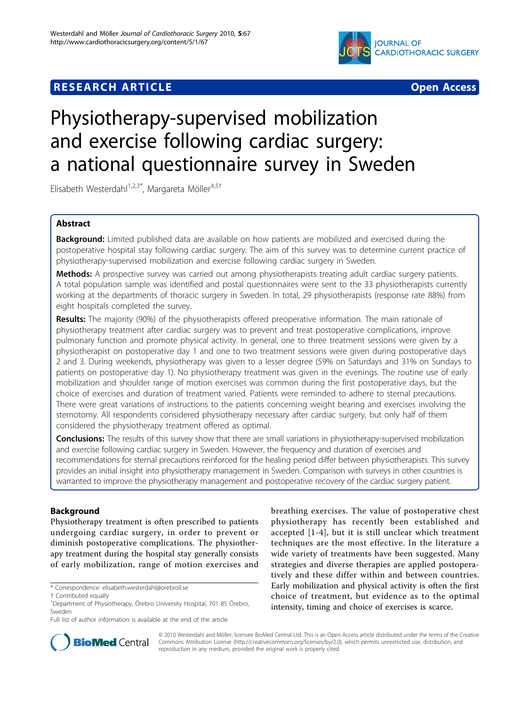

# **RESEARCH ARTICLE Example 2014 CONSUMING ACCESS**



# Physiotherapy-supervised mobilization and exercise following cardiac surgery: a national questionnaire survey in Sweden

Elisabeth Westerdahl<sup>1,2,3\*</sup>, Margareta Möller<sup>4,5†</sup>

# Abstract

**Background:** Limited published data are available on how patients are mobilized and exercised during the postoperative hospital stay following cardiac surgery. The aim of this survey was to determine current practice of physiotherapy-supervised mobilization and exercise following cardiac surgery in Sweden.

Methods: A prospective survey was carried out among physiotherapists treating adult cardiac surgery patients. A total population sample was identified and postal questionnaires were sent to the 33 physiotherapists currently working at the departments of thoracic surgery in Sweden. In total, 29 physiotherapists (response rate 88%) from eight hospitals completed the survey.

Results: The majority (90%) of the physiotherapists offered preoperative information. The main rationale of physiotherapy treatment after cardiac surgery was to prevent and treat postoperative complications, improve pulmonary function and promote physical activity. In general, one to three treatment sessions were given by a physiotherapist on postoperative day 1 and one to two treatment sessions were given during postoperative days 2 and 3. During weekends, physiotherapy was given to a lesser degree (59% on Saturdays and 31% on Sundays to patients on postoperative day 1). No physiotherapy treatment was given in the evenings. The routine use of early mobilization and shoulder range of motion exercises was common during the first postoperative days, but the choice of exercises and duration of treatment varied. Patients were reminded to adhere to sternal precautions. There were great variations of instructions to the patients concerning weight bearing and exercises involving the sternotomy. All respondents considered physiotherapy necessary after cardiac surgery, but only half of them considered the physiotherapy treatment offered as optimal.

Conclusions: The results of this survey show that there are small variations in physiotherapy-supervised mobilization and exercise following cardiac surgery in Sweden. However, the frequency and duration of exercises and recommendations for sternal precautions reinforced for the healing period differ between physiotherapists. This survey provides an initial insight into physiotherapy management in Sweden. Comparison with surveys in other countries is warranted to improve the physiotherapy management and postoperative recovery of the cardiac surgery patient.

# Background

Physiotherapy treatment is often prescribed to patients undergoing cardiac surgery, in order to prevent or diminish postoperative complications. The physiotherapy treatment during the hospital stay generally consists of early mobilization, range of motion exercises and

\* Correspondence: [elisabeth.westerdahl@orebroll.se](mailto:elisabeth.westerdahl@orebroll.se)

breathing exercises. The value of postoperative chest physiotherapy has recently been established and accepted [[1-4\]](#page-6-0), but it is still unclear which treatment techniques are the most effective. In the literature a wide variety of treatments have been suggested. Many strategies and diverse therapies are applied postoperatively and these differ within and between countries. Early mobilization and physical activity is often the first choice of treatment, but evidence as to the optimal intensity, timing and choice of exercises is scarce.



© 2010 Westerdahl and Möller; licensee BioMed Central Ltd. This is an Open Access article distributed under the terms of the Creative Commons Attribution License [\(http://creativecommons.org/licenses/by/2.0](http://creativecommons.org/licenses/by/2.0)), which permits unrestricted use, distribution, and reproduction in any medium, provided the original work is properly cited.

<sup>†</sup> Contributed equally <sup>1</sup>

Department of Physiotherapy, Örebro University Hospital, 701 85 Örebro, Sweden

Full list of author information is available at the end of the article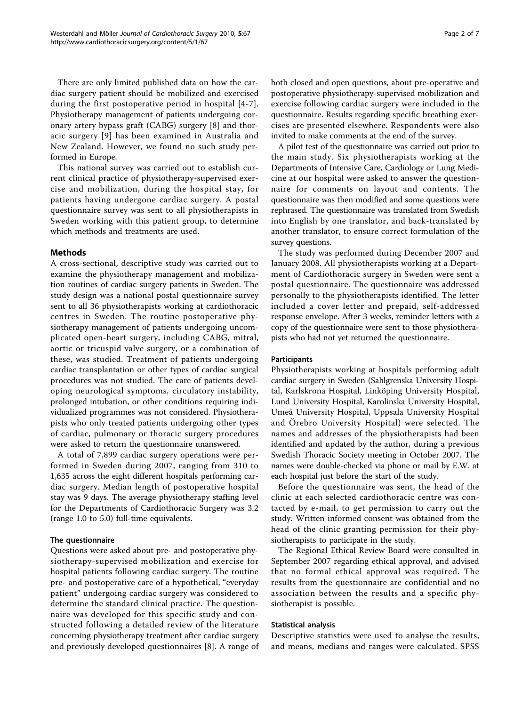There are only limited published data on how the cardiac surgery patient should be mobilized and exercised during the first postoperative period in hospital [[4](#page-6-0)-[7](#page-6-0)]. Physiotherapy management of patients undergoing coronary artery bypass graft (CABG) surgery [[8\]](#page-6-0) and thoracic surgery [[9\]](#page-6-0) has been examined in Australia and New Zealand. However, we found no such study performed in Europe.

This national survey was carried out to establish current clinical practice of physiotherapy-supervised exercise and mobilization, during the hospital stay, for patients having undergone cardiac surgery. A postal questionnaire survey was sent to all physiotherapists in Sweden working with this patient group, to determine which methods and treatments are used.

### Methods

A cross-sectional, descriptive study was carried out to examine the physiotherapy management and mobilization routines of cardiac surgery patients in Sweden. The study design was a national postal questionnaire survey sent to all 36 physiotherapists working at cardiothoracic centres in Sweden. The routine postoperative physiotherapy management of patients undergoing uncomplicated open-heart surgery, including CABG, mitral, aortic or tricuspid valve surgery, or a combination of these, was studied. Treatment of patients undergoing cardiac transplantation or other types of cardiac surgical procedures was not studied. The care of patients developing neurological symptoms, circulatory instability, prolonged intubation, or other conditions requiring individualized programmes was not considered. Physiotherapists who only treated patients undergoing other types of cardiac, pulmonary or thoracic surgery procedures were asked to return the questionnaire unanswered.

A total of 7,899 cardiac surgery operations were performed in Sweden during 2007, ranging from 310 to 1,635 across the eight different hospitals performing cardiac surgery. Median length of postoperative hospital stay was 9 days. The average physiotherapy staffing level for the Departments of Cardiothoracic Surgery was 3.2 (range 1.0 to 5.0) full-time equivalents.

### The questionnaire

Questions were asked about pre- and postoperative physiotherapy-supervised mobilization and exercise for hospital patients following cardiac surgery. The routine pre- and postoperative care of a hypothetical, "everyday patient" undergoing cardiac surgery was considered to determine the standard clinical practice. The questionnaire was developed for this specific study and constructed following a detailed review of the literature concerning physiotherapy treatment after cardiac surgery and previously developed questionnaires [[8\]](#page-6-0). A range of both closed and open questions, about pre-operative and postoperative physiotherapy-supervised mobilization and exercise following cardiac surgery were included in the questionnaire. Results regarding specific breathing exercises are presented elsewhere. Respondents were also invited to make comments at the end of the survey.

A pilot test of the questionnaire was carried out prior to the main study. Six physiotherapists working at the Departments of Intensive Care, Cardiology or Lung Medicine at our hospital were asked to answer the questionnaire for comments on layout and contents. The questionnaire was then modified and some questions were rephrased. The questionnaire was translated from Swedish into English by one translator, and back-translated by another translator, to ensure correct formulation of the survey questions.

The study was performed during December 2007 and January 2008. All physiotherapists working at a Department of Cardiothoracic surgery in Sweden were sent a postal questionnaire. The questionnaire was addressed personally to the physiotherapists identified. The letter included a cover letter and prepaid, self-addressed response envelope. After 3 weeks, reminder letters with a copy of the questionnaire were sent to those physiotherapists who had not yet returned the questionnaire.

### Participants

Physiotherapists working at hospitals performing adult cardiac surgery in Sweden (Sahlgrenska University Hospital, Karlskrona Hospital, Linköping University Hospital, Lund University Hospital, Karolinska University Hospital, Umeå University Hospital, Uppsala University Hospital and Örebro University Hospital) were selected. The names and addresses of the physiotherapists had been identified and updated by the author, during a previous Swedish Thoracic Society meeting in October 2007. The names were double-checked via phone or mail by E.W. at each hospital just before the start of the study.

Before the questionnaire was sent, the head of the clinic at each selected cardiothoracic centre was contacted by e-mail, to get permission to carry out the study. Written informed consent was obtained from the head of the clinic granting permission for their physiotherapists to participate in the study.

The Regional Ethical Review Board were consulted in September 2007 regarding ethical approval, and advised that no formal ethical approval was required. The results from the questionnaire are confidential and no association between the results and a specific physiotherapist is possible.

#### Statistical analysis

Descriptive statistics were used to analyse the results, and means, medians and ranges were calculated. SPSS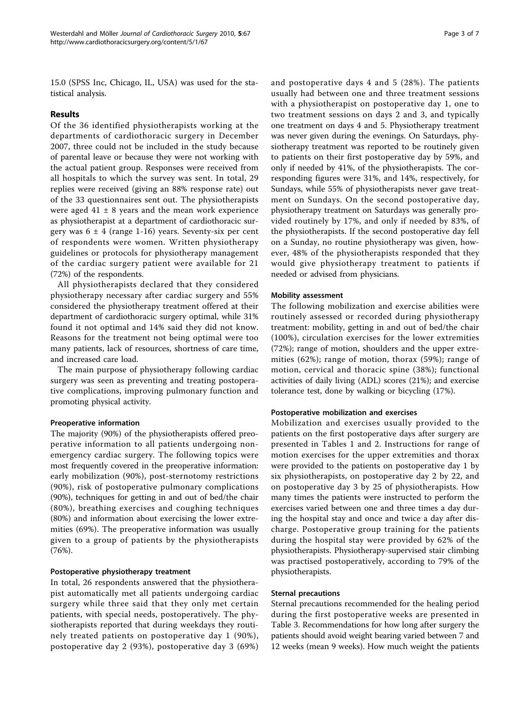15.0 (SPSS Inc, Chicago, IL, USA) was used for the statistical analysis.

# Results

Of the 36 identified physiotherapists working at the departments of cardiothoracic surgery in December 2007, three could not be included in the study because of parental leave or because they were not working with the actual patient group. Responses were received from all hospitals to which the survey was sent. In total, 29 replies were received (giving an 88% response rate) out of the 33 questionnaires sent out. The physiotherapists were aged  $41 \pm 8$  years and the mean work experience as physiotherapist at a department of cardiothoracic surgery was  $6 \pm 4$  (range 1-16) years. Seventy-six per cent of respondents were women. Written physiotherapy guidelines or protocols for physiotherapy management of the cardiac surgery patient were available for 21 (72%) of the respondents.

All physiotherapists declared that they considered physiotherapy necessary after cardiac surgery and 55% considered the physiotherapy treatment offered at their department of cardiothoracic surgery optimal, while 31% found it not optimal and 14% said they did not know. Reasons for the treatment not being optimal were too many patients, lack of resources, shortness of care time, and increased care load.

The main purpose of physiotherapy following cardiac surgery was seen as preventing and treating postoperative complications, improving pulmonary function and promoting physical activity.

### Preoperative information

The majority (90%) of the physiotherapists offered preoperative information to all patients undergoing nonemergency cardiac surgery. The following topics were most frequently covered in the preoperative information: early mobilization (90%), post-sternotomy restrictions (90%), risk of postoperative pulmonary complications (90%), techniques for getting in and out of bed/the chair (80%), breathing exercises and coughing techniques (80%) and information about exercising the lower extremities (69%). The preoperative information was usually given to a group of patients by the physiotherapists (76%).

#### Postoperative physiotherapy treatment

In total, 26 respondents answered that the physiotherapist automatically met all patients undergoing cardiac surgery while three said that they only met certain patients, with special needs, postoperatively. The physiotherapists reported that during weekdays they routinely treated patients on postoperative day 1 (90%), postoperative day 2 (93%), postoperative day 3 (69%) and postoperative days 4 and 5 (28%). The patients usually had between one and three treatment sessions with a physiotherapist on postoperative day 1, one to two treatment sessions on days 2 and 3, and typically one treatment on days 4 and 5. Physiotherapy treatment was never given during the evenings. On Saturdays, physiotherapy treatment was reported to be routinely given to patients on their first postoperative day by 59%, and only if needed by 41%, of the physiotherapists. The corresponding figures were 31%, and 14%, respectively, for Sundays, while 55% of physiotherapists never gave treatment on Sundays. On the second postoperative day, physiotherapy treatment on Saturdays was generally provided routinely by 17%, and only if needed by 83%, of the physiotherapists. If the second postoperative day fell on a Sunday, no routine physiotherapy was given, however, 48% of the physiotherapists responded that they would give physiotherapy treatment to patients if needed or advised from physicians.

#### Mobility assessment

The following mobilization and exercise abilities were routinely assessed or recorded during physiotherapy treatment: mobility, getting in and out of bed/the chair (100%), circulation exercises for the lower extremities (72%); range of motion, shoulders and the upper extremities (62%); range of motion, thorax (59%); range of motion, cervical and thoracic spine (38%); functional activities of daily living (ADL) scores (21%); and exercise tolerance test, done by walking or bicycling (17%).

#### Postoperative mobilization and exercises

Mobilization and exercises usually provided to the patients on the first postoperative days after surgery are presented in Tables [1](#page-3-0) and [2](#page-3-0). Instructions for range of motion exercises for the upper extremities and thorax were provided to the patients on postoperative day 1 by six physiotherapists, on postoperative day 2 by 22, and on postoperative day 3 by 25 of physiotherapists. How many times the patients were instructed to perform the exercises varied between one and three times a day during the hospital stay and once and twice a day after discharge. Postoperative group training for the patients during the hospital stay were provided by 62% of the physiotherapists. Physiotherapy-supervised stair climbing was practised postoperatively, according to 79% of the physiotherapists.

#### Sternal precautions

Sternal precautions recommended for the healing period during the first postoperative weeks are presented in Table [3](#page-4-0). Recommendations for how long after surgery the patients should avoid weight bearing varied between 7 and 12 weeks (mean 9 weeks). How much weight the patients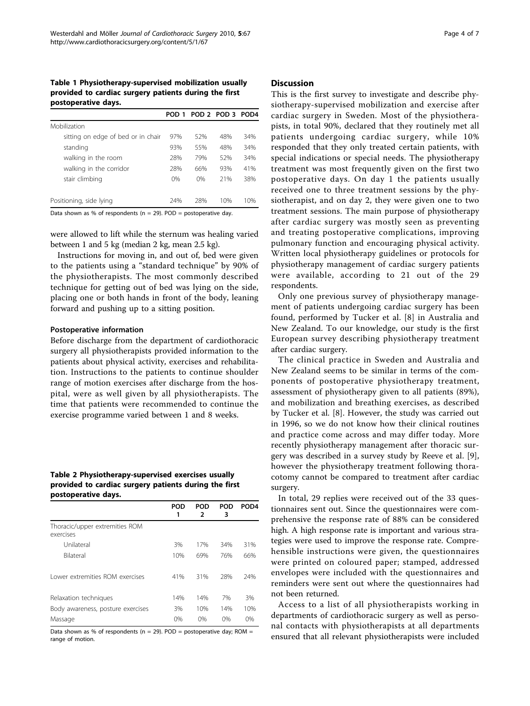<span id="page-3-0"></span>Table 1 Physiotherapy-supervised mobilization usually provided to cardiac surgery patients during the first postoperative days.

|                                    | POD |     | POD 2 POD 3 POD4 |     |
|------------------------------------|-----|-----|------------------|-----|
| Mobilization                       |     |     |                  |     |
| sitting on edge of bed or in chair | 97% | 52% | 48%              | 34% |
| standing                           | 93% | 55% | 48%              | 34% |
| walking in the room                | 28% | 79% | 52%              | 34% |
| walking in the corridor            | 28% | 66% | 93%              | 41% |
| stair climbing                     | 0%  | 0%  | 21%              | 38% |
|                                    |     |     |                  |     |
| Positioning, side lying            | 24% | 28% | 10%              | 10% |

Data shown as % of respondents ( $n = 29$ ). POD = postoperative day.

were allowed to lift while the sternum was healing varied between 1 and 5 kg (median 2 kg, mean 2.5 kg).

Instructions for moving in, and out of, bed were given to the patients using a "standard technique" by 90% of the physiotherapists. The most commonly described technique for getting out of bed was lying on the side, placing one or both hands in front of the body, leaning forward and pushing up to a sitting position.

#### Postoperative information

Before discharge from the department of cardiothoracic surgery all physiotherapists provided information to the patients about physical activity, exercises and rehabilitation. Instructions to the patients to continue shoulder range of motion exercises after discharge from the hospital, were as well given by all physiotherapists. The time that patients were recommended to continue the exercise programme varied between 1 and 8 weeks.

## Table 2 Physiotherapy-supervised exercises usually provided to cardiac surgery patients during the first postoperative days.

|                                             | POD<br>1 | POD<br>2 | POD<br>3 | POD4 |
|---------------------------------------------|----------|----------|----------|------|
| Thoracic/upper extremities ROM<br>exercises |          |          |          |      |
| Unilateral                                  | 3%       | 17%      | 34%      | 31%  |
| Bilateral                                   | 10%      | 69%      | 76%      | 66%  |
| Lower extremities ROM exercises             | 41%      | 31%      | 28%      | 24%  |
| Relaxation techniques                       | 14%      | 14%      | 7%       | 3%   |
| Body awareness, posture exercises           | 3%       | 10%      | 14%      | 10%  |
| Massage                                     | 0%       | 0%       | $0\%$    | 0%   |

Data shown as % of respondents ( $n = 29$ ). POD = postoperative day; ROM = range of motion.

#### **Discussion**

This is the first survey to investigate and describe physiotherapy-supervised mobilization and exercise after cardiac surgery in Sweden. Most of the physiotherapists, in total 90%, declared that they routinely met all patients undergoing cardiac surgery, while 10% responded that they only treated certain patients, with special indications or special needs. The physiotherapy treatment was most frequently given on the first two postoperative days. On day 1 the patients usually received one to three treatment sessions by the physiotherapist, and on day 2, they were given one to two treatment sessions. The main purpose of physiotherapy after cardiac surgery was mostly seen as preventing and treating postoperative complications, improving pulmonary function and encouraging physical activity. Written local physiotherapy guidelines or protocols for physiotherapy management of cardiac surgery patients were available, according to 21 out of the 29 respondents.

Only one previous survey of physiotherapy management of patients undergoing cardiac surgery has been found, performed by Tucker et al. [[8\]](#page-6-0) in Australia and New Zealand. To our knowledge, our study is the first European survey describing physiotherapy treatment after cardiac surgery.

The clinical practice in Sweden and Australia and New Zealand seems to be similar in terms of the components of postoperative physiotherapy treatment, assessment of physiotherapy given to all patients (89%), and mobilization and breathing exercises, as described by Tucker et al. [\[8\]](#page-6-0). However, the study was carried out in 1996, so we do not know how their clinical routines and practice come across and may differ today. More recently physiotherapy management after thoracic surgery was described in a survey study by Reeve et al. [\[9](#page-6-0)], however the physiotherapy treatment following thoracotomy cannot be compared to treatment after cardiac surgery.

In total, 29 replies were received out of the 33 questionnaires sent out. Since the questionnaires were comprehensive the response rate of 88% can be considered high. A high response rate is important and various strategies were used to improve the response rate. Comprehensible instructions were given, the questionnaires were printed on coloured paper; stamped, addressed envelopes were included with the questionnaires and reminders were sent out where the questionnaires had not been returned.

Access to a list of all physiotherapists working in departments of cardiothoracic surgery as well as personal contacts with physiotherapists at all departments ensured that all relevant physiotherapists were included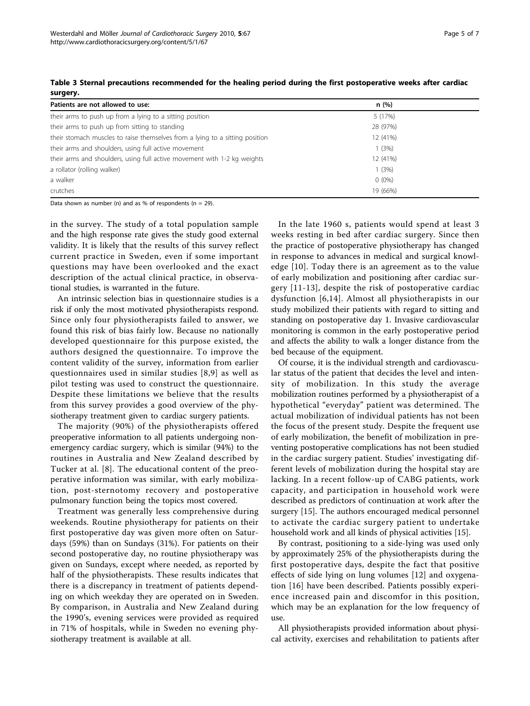| Patients are not allowed to use:                                             | n(%)     |  |
|------------------------------------------------------------------------------|----------|--|
| their arms to push up from a lying to a sitting position                     | 5(17%)   |  |
| their arms to push up from sitting to standing                               | 28 (97%) |  |
| their stomach muscles to raise themselves from a lying to a sitting position | 12 (41%) |  |
| their arms and shoulders, using full active movement                         | 1(3%)    |  |
| their arms and shoulders, using full active movement with 1-2 kg weights     | 12 (41%) |  |
| a rollator (rolling walker)                                                  | 1(3%)    |  |
| a walker                                                                     | $0(0\%)$ |  |
| crutches                                                                     | 19 (66%) |  |

<span id="page-4-0"></span>Table 3 Sternal precautions recommended for the healing period during the first postoperative weeks after cardiac surgery.

Data shown as number (n) and as % of respondents ( $n = 29$ ).

in the survey. The study of a total population sample and the high response rate gives the study good external validity. It is likely that the results of this survey reflect current practice in Sweden, even if some important questions may have been overlooked and the exact description of the actual clinical practice, in observational studies, is warranted in the future.

An intrinsic selection bias in questionnaire studies is a risk if only the most motivated physiotherapists respond. Since only four physiotherapists failed to answer, we found this risk of bias fairly low. Because no nationally developed questionnaire for this purpose existed, the authors designed the questionnaire. To improve the content validity of the survey, information from earlier questionnaires used in similar studies [[8](#page-6-0),[9\]](#page-6-0) as well as pilot testing was used to construct the questionnaire. Despite these limitations we believe that the results from this survey provides a good overview of the physiotherapy treatment given to cardiac surgery patients.

The majority (90%) of the physiotherapists offered preoperative information to all patients undergoing nonemergency cardiac surgery, which is similar (94%) to the routines in Australia and New Zealand described by Tucker at al. [[8\]](#page-6-0). The educational content of the preoperative information was similar, with early mobilization, post-sternotomy recovery and postoperative pulmonary function being the topics most covered.

Treatment was generally less comprehensive during weekends. Routine physiotherapy for patients on their first postoperative day was given more often on Saturdays (59%) than on Sundays (31%). For patients on their second postoperative day, no routine physiotherapy was given on Sundays, except where needed, as reported by half of the physiotherapists. These results indicates that there is a discrepancy in treatment of patients depending on which weekday they are operated on in Sweden. By comparison, in Australia and New Zealand during the 1990's, evening services were provided as required in 71% of hospitals, while in Sweden no evening physiotherapy treatment is available at all.

In the late 1960 s, patients would spend at least 3 weeks resting in bed after cardiac surgery. Since then the practice of postoperative physiotherapy has changed in response to advances in medical and surgical knowledge [[10\]](#page-6-0). Today there is an agreement as to the value of early mobilization and positioning after cardiac surgery [[11](#page-6-0)-[13](#page-6-0)], despite the risk of postoperative cardiac dysfunction [[6](#page-6-0),[14](#page-6-0)]. Almost all physiotherapists in our study mobilized their patients with regard to sitting and standing on postoperative day 1. Invasive cardiovascular monitoring is common in the early postoperative period and affects the ability to walk a longer distance from the bed because of the equipment.

Of course, it is the individual strength and cardiovascular status of the patient that decides the level and intensity of mobilization. In this study the average mobilization routines performed by a physiotherapist of a hypothetical "everyday" patient was determined. The actual mobilization of individual patients has not been the focus of the present study. Despite the frequent use of early mobilization, the benefit of mobilization in preventing postoperative complications has not been studied in the cardiac surgery patient. Studies' investigating different levels of mobilization during the hospital stay are lacking. In a recent follow-up of CABG patients, work capacity, and participation in household work were described as predictors of continuation at work after the surgery [\[15](#page-6-0)]. The authors encouraged medical personnel to activate the cardiac surgery patient to undertake household work and all kinds of physical activities [[15\]](#page-6-0).

By contrast, positioning to a side-lying was used only by approximately 25% of the physiotherapists during the first postoperative days, despite the fact that positive effects of side lying on lung volumes [[12\]](#page-6-0) and oxygenation [[16](#page-6-0)] have been described. Patients possibly experience increased pain and discomfor in this position, which may be an explanation for the low frequency of use.

All physiotherapists provided information about physical activity, exercises and rehabilitation to patients after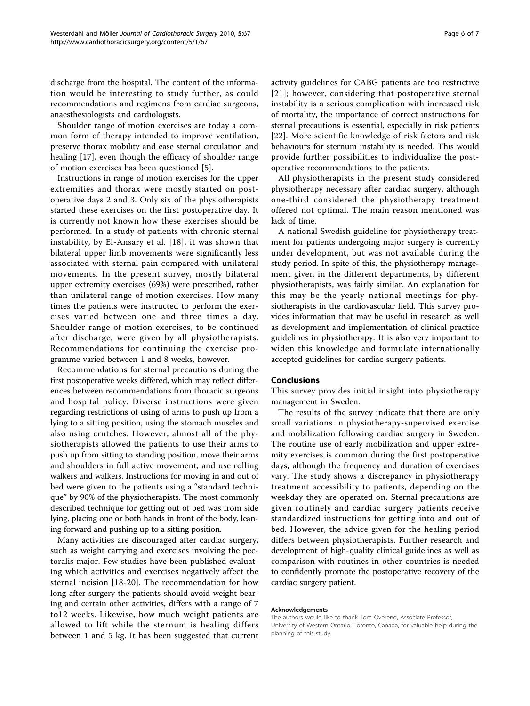discharge from the hospital. The content of the information would be interesting to study further, as could recommendations and regimens from cardiac surgeons, anaesthesiologists and cardiologists.

Shoulder range of motion exercises are today a common form of therapy intended to improve ventilation, preserve thorax mobility and ease sternal circulation and healing [[17\]](#page-6-0), even though the efficacy of shoulder range of motion exercises has been questioned [[5\]](#page-6-0).

Instructions in range of motion exercises for the upper extremities and thorax were mostly started on postoperative days 2 and 3. Only six of the physiotherapists started these exercises on the first postoperative day. It is currently not known how these exercises should be performed. In a study of patients with chronic sternal instability, by El-Ansary et al. [\[18\]](#page-6-0), it was shown that bilateral upper limb movements were significantly less associated with sternal pain compared with unilateral movements. In the present survey, mostly bilateral upper extremity exercises (69%) were prescribed, rather than unilateral range of motion exercises. How many times the patients were instructed to perform the exercises varied between one and three times a day. Shoulder range of motion exercises, to be continued after discharge, were given by all physiotherapists. Recommendations for continuing the exercise programme varied between 1 and 8 weeks, however.

Recommendations for sternal precautions during the first postoperative weeks differed, which may reflect differences between recommendations from thoracic surgeons and hospital policy. Diverse instructions were given regarding restrictions of using of arms to push up from a lying to a sitting position, using the stomach muscles and also using crutches. However, almost all of the physiotherapists allowed the patients to use their arms to push up from sitting to standing position, move their arms and shoulders in full active movement, and use rolling walkers and walkers. Instructions for moving in and out of bed were given to the patients using a "standard technique" by 90% of the physiotherapists. The most commonly described technique for getting out of bed was from side lying, placing one or both hands in front of the body, leaning forward and pushing up to a sitting position.

Many activities are discouraged after cardiac surgery, such as weight carrying and exercises involving the pectoralis major. Few studies have been published evaluating which activities and exercises negatively affect the sternal incision [[18-20\]](#page-6-0). The recommendation for how long after surgery the patients should avoid weight bearing and certain other activities, differs with a range of 7 to12 weeks. Likewise, how much weight patients are allowed to lift while the sternum is healing differs between 1 and 5 kg. It has been suggested that current activity guidelines for CABG patients are too restrictive [[21\]](#page-6-0); however, considering that postoperative sternal instability is a serious complication with increased risk of mortality, the importance of correct instructions for sternal precautions is essential, especially in risk patients [[22](#page-6-0)]. More scientific knowledge of risk factors and risk behaviours for sternum instability is needed. This would provide further possibilities to individualize the postoperative recommendations to the patients.

All physiotherapists in the present study considered physiotherapy necessary after cardiac surgery, although one-third considered the physiotherapy treatment offered not optimal. The main reason mentioned was lack of time.

A national Swedish guideline for physiotherapy treatment for patients undergoing major surgery is currently under development, but was not available during the study period. In spite of this, the physiotherapy management given in the different departments, by different physiotherapists, was fairly similar. An explanation for this may be the yearly national meetings for physiotherapists in the cardiovascular field. This survey provides information that may be useful in research as well as development and implementation of clinical practice guidelines in physiotherapy. It is also very important to widen this knowledge and formulate internationally accepted guidelines for cardiac surgery patients.

# Conclusions

This survey provides initial insight into physiotherapy management in Sweden.

The results of the survey indicate that there are only small variations in physiotherapy-supervised exercise and mobilization following cardiac surgery in Sweden. The routine use of early mobilization and upper extremity exercises is common during the first postoperative days, although the frequency and duration of exercises vary. The study shows a discrepancy in physiotherapy treatment accessibility to patients, depending on the weekday they are operated on. Sternal precautions are given routinely and cardiac surgery patients receive standardized instructions for getting into and out of bed. However, the advice given for the healing period differs between physiotherapists. Further research and development of high-quality clinical guidelines as well as comparison with routines in other countries is needed to confidently promote the postoperative recovery of the cardiac surgery patient.

#### Acknowledgements

The authors would like to thank Tom Overend, Associate Professor, University of Western Ontario, Toronto, Canada, for valuable help during the planning of this study.